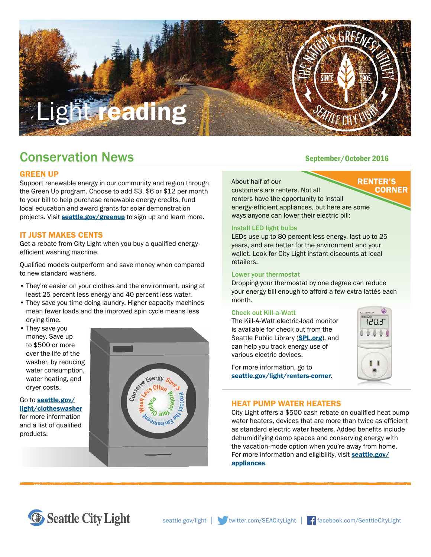# **Lieading**

### Conservation News

#### GREEN UP

Support renewable energy in our community and region through the Green Up program. Choose to add \$3, \$6 or \$12 per month to your bill to help purchase renewable energy credits, fund local education and award grants for solar demonstration projects. Visit **[seattle.gov/greenup](http://www.seattle.gov/greenup)** to sign up and learn more.

#### IT JUST MAKES CENTS

Get a rebate from City Light when you buy a qualified energyefficient washing machine.

Qualified models outperform and save money when compared to new standard washers.

- They're easier on your clothes and the environment, using at least 25 percent less energy and 40 percent less water.
- They save you time doing laundry. Higher capacity machines mean fewer loads and the improved spin cycle means less drying time.
- They save you money. Save up to \$500 or more over the life of the washer, by reducing water consumption, water heating, and dryer costs.

Go to **seattle.gov/** [light/clotheswasher](http://www.seattle.gov/light/clotheswasher) for more information and a list of qualified products.



#### September/October 2016

#### About half of our

**RENTER'S CORNER** customers are renters. Not all renters have the opportunity to install energy-efficient appliances, but here are some ways anyone can lower their electric bill:

#### Install LED light bulbs

LEDs use up to 80 percent less energy, last up to 25 years, and are better for the environment and your wallet. Look for City Light instant discounts at local retailers.

#### Lower your thermostat

Dropping your thermostat by one degree can reduce your energy bill enough to afford a few extra lattés each month.

#### Check out Kill-a-Watt

The Kill-A-Watt electric-load monitor is available for check out from the Seattle Public Library (**[SPL.org](http://www.spl.org)**), and can help you track energy use of various electric devices.

For more information, go to [seattle.gov/light/renters-corner](http://www.seattle.gov/light/renters-corner).



#### HEAT PUMP WATER HEATERS

City Light offers a \$500 cash rebate on qualified heat pump water heaters, devices that are more than twice as efficient as standard electric water heaters. Added benefits include dehumidifying damp spaces and conserving energy with the vacation-mode option when you're away from home. For more information and eligibility, visit [seattle.gov/](http://www.seattle.gov/appliances) [appliances](http://www.seattle.gov/appliances).

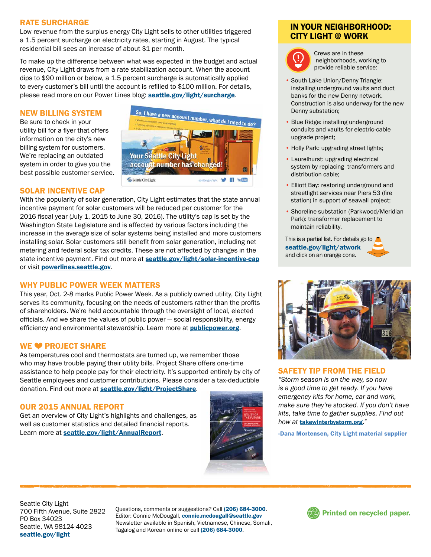#### RATE SURCHARGE

Low revenue from the surplus energy City Light sells to other utilities triggered a 1.5 percent surcharge on electricity rates, starting in August. The typical residential bill sees an increase of about \$1 per month.

To make up the difference between what was expected in the budget and actual revenue, City Light draws from a rate stabilization account. When the account dips to \$90 million or below, a 1.5 percent surcharge is automatically applied to every customer's bill until the account is refilled to \$100 million. For details, please read more on our Power Lines blog: **[seattle.gov/light/surcharge](http://www.seattle.gov/light/surcharge)**.

#### NEW BILLING SYSTEM

Be sure to check in your utility bill for a flyer that offers information on the city's new billing system for customers. We're replacing an outdated system in order to give you the best possible customer service.



#### SOLAR INCENTIVE CAP

With the popularity of solar generation, City Light estimates that the state annual incentive payment for solar customers will be reduced per customer for the 2016 fiscal year (July 1, 2015 to June 30, 2016). The utility's cap is set by the Washington State Legislature and is affected by various factors including the increase in the average size of solar systems being installed and more customers installing solar. Solar customers still benefit from solar generation, including net metering and federal solar tax credits. These are not affected by changes in the state incentive payment. Find out more at **[seattle.gov/light/solar-incentive-cap](http://www.seattle.gov/light/solar-incentive-cap)** or visit *[powerlines.seattle.gov](http://www.powerlines.seattle.gov)*.

#### WHY PUBLIC POWER WEEK MATTERS

This year, Oct. 2-8 marks Public Power Week. As a publicly owned utility, City Light serves its community, focusing on the needs of customers rather than the profits of shareholders. We're held accountable through the oversight of local, elected officials. And we share the values of public power — social responsibility, energy efficiency and environmental stewardship. Learn more at **[publicpower.org](http://www.publicpower.org)**.

#### WE **W** PROJECT SHARE

As temperatures cool and thermostats are turned up, we remember those who may have trouble paying their utility bills. Project Share offers one-time assistance to help people pay for their electricity. It's supported entirely by city of Seattle employees and customer contributions. Please consider a tax-deductible donation. Find out more at **[seattle.gov/light/ProjectShare](http://www.seattle.gov/light/ProjectShare).** 

#### OUR 2015 ANNUAL REPORT

Get an overview of City Light's highlights and challenges, as well as customer statistics and detailed financial reports. Learn more at **[seattle.gov/light/AnnualReport](http://www.seattle.gov/light/AnnualReport)**.



#### IN YOUR NEIGHBORHOOD: CITY LIGHT @ WORK



Crews are in these neighborhoods, working to provide reliable service:

- South Lake Union/Denny Triangle: installing underground vaults and duct banks for the new Denny network. Construction is also underway for the new Denny substation;
- Blue Ridge: installing underground conduits and vaults for electric-cable upgrade project;
- Holly Park: upgrading street lights;
- Laurelhurst: upgrading electrical system by replacing transformers and distribution cable;
- Elliott Bay: restoring underground and streetlight services near Piers 53 (fire station) in support of seawall project;
- Shoreline substation (Parkwood/Meridian Park): transformer replacement to maintain reliability.

This is a partial list. For details go to [seattle.gov/light/atwork](http://www.seattle.gov/light/atwork) and click on an orange cone.



#### SAFETY TIP FROM THE FIELD

*"Storm season is on the way, so now is a good time to get ready. If you have emergency kits for home, car and work, make sure they're stocked. If you don't have kits, take time to gather supplies. Find out how at* [takewinterbystorm.org](http://www.takewinterbystorm.org)*."*

-Dana Mortensen, City Light material supplier

Seattle City Light 700 Fifth Avenue, Suite 2822 PO Box 34023 Seattle, WA 98124-4023 [seattle.gov/light](http://www.seattle.gov/light)

Questions, comments or suggestions? Call (206) 684-3000. Editor: Connie McDougall, connie.mcdougall@seattle.gov Newsletter available in Spanish, Vietnamese, Chinese, Somali, Tagalog and Korean online or call (206) 684-3000.

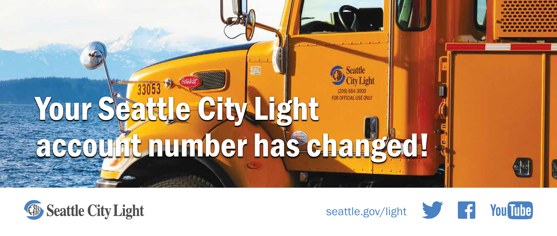# Your Seattle City Light account number has changed!